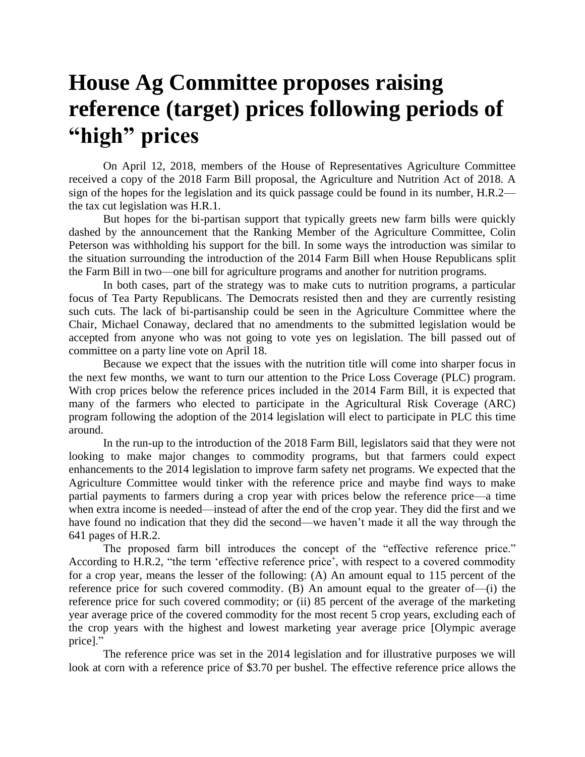## **House Ag Committee proposes raising reference (target) prices following periods of "high" prices**

On April 12, 2018, members of the House of Representatives Agriculture Committee received a copy of the 2018 Farm Bill proposal, the Agriculture and Nutrition Act of 2018. A sign of the hopes for the legislation and its quick passage could be found in its number, H.R.2 the tax cut legislation was H.R.1.

But hopes for the bi-partisan support that typically greets new farm bills were quickly dashed by the announcement that the Ranking Member of the Agriculture Committee, Colin Peterson was withholding his support for the bill. In some ways the introduction was similar to the situation surrounding the introduction of the 2014 Farm Bill when House Republicans split the Farm Bill in two—one bill for agriculture programs and another for nutrition programs.

In both cases, part of the strategy was to make cuts to nutrition programs, a particular focus of Tea Party Republicans. The Democrats resisted then and they are currently resisting such cuts. The lack of bi-partisanship could be seen in the Agriculture Committee where the Chair, Michael Conaway, declared that no amendments to the submitted legislation would be accepted from anyone who was not going to vote yes on legislation. The bill passed out of committee on a party line vote on April 18.

Because we expect that the issues with the nutrition title will come into sharper focus in the next few months, we want to turn our attention to the Price Loss Coverage (PLC) program. With crop prices below the reference prices included in the 2014 Farm Bill, it is expected that many of the farmers who elected to participate in the Agricultural Risk Coverage (ARC) program following the adoption of the 2014 legislation will elect to participate in PLC this time around.

In the run-up to the introduction of the 2018 Farm Bill, legislators said that they were not looking to make major changes to commodity programs, but that farmers could expect enhancements to the 2014 legislation to improve farm safety net programs. We expected that the Agriculture Committee would tinker with the reference price and maybe find ways to make partial payments to farmers during a crop year with prices below the reference price—a time when extra income is needed—instead of after the end of the crop year. They did the first and we have found no indication that they did the second—we haven't made it all the way through the 641 pages of H.R.2.

The proposed farm bill introduces the concept of the "effective reference price." According to H.R.2, "the term 'effective reference price', with respect to a covered commodity for a crop year, means the lesser of the following: (A) An amount equal to 115 percent of the reference price for such covered commodity. (B) An amount equal to the greater of—(i) the reference price for such covered commodity; or (ii) 85 percent of the average of the marketing year average price of the covered commodity for the most recent 5 crop years, excluding each of the crop years with the highest and lowest marketing year average price [Olympic average price]."

The reference price was set in the 2014 legislation and for illustrative purposes we will look at corn with a reference price of \$3.70 per bushel. The effective reference price allows the